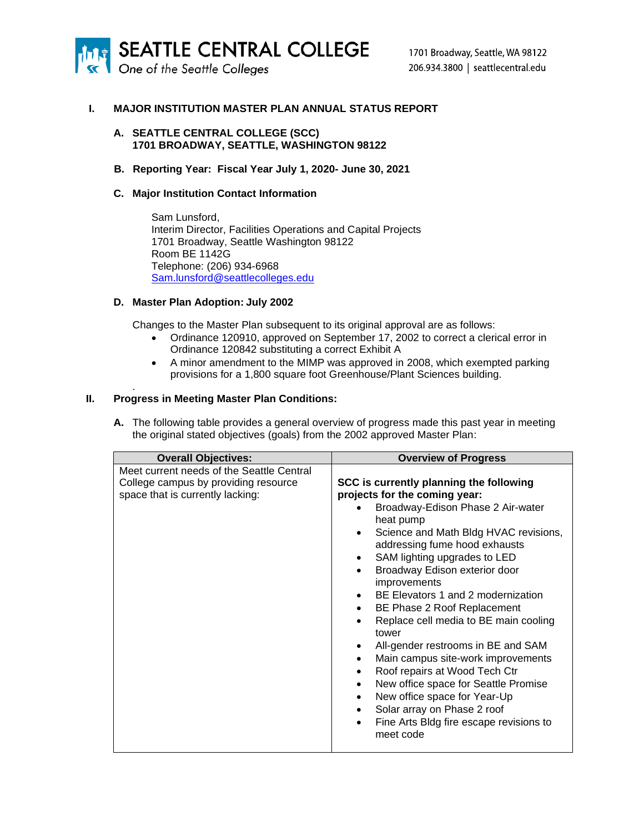

# **I. MAJOR INSTITUTION MASTER PLAN ANNUAL STATUS REPORT**

### **A. SEATTLE CENTRAL COLLEGE (SCC) 1701 BROADWAY, SEATTLE, WASHINGTON 98122**

### **B. Reporting Year: Fiscal Year July 1, 2020- June 30, 2021**

### **C. Major Institution Contact Information**

Sam Lunsford, Interim Director, Facilities Operations and Capital Projects 1701 Broadway, Seattle Washington 98122 Room BE 1142G Telephone: (206) 934-6968 [Sam.lunsford@seattlecolleges.edu](mailto:Sam.lunsford@seattlecolleges.edu)

### **D. Master Plan Adoption: July 2002**

Changes to the Master Plan subsequent to its original approval are as follows:

- Ordinance 120910, approved on September 17, 2002 to correct a clerical error in Ordinance 120842 substituting a correct Exhibit A
- A minor amendment to the MIMP was approved in 2008, which exempted parking provisions for a 1,800 square foot Greenhouse/Plant Sciences building.

# **II. Progress in Meeting Master Plan Conditions:**

.

**A.** The following table provides a general overview of progress made this past year in meeting the original stated objectives (goals) from the 2002 approved Master Plan:

| <b>Overall Objectives:</b>                                                                                            | <b>Overview of Progress</b>                                                                                                                                                                                                                                                                                                                                                                                                                                                                                                                                                                                                                                                                                                  |
|-----------------------------------------------------------------------------------------------------------------------|------------------------------------------------------------------------------------------------------------------------------------------------------------------------------------------------------------------------------------------------------------------------------------------------------------------------------------------------------------------------------------------------------------------------------------------------------------------------------------------------------------------------------------------------------------------------------------------------------------------------------------------------------------------------------------------------------------------------------|
| Meet current needs of the Seattle Central<br>College campus by providing resource<br>space that is currently lacking: | SCC is currently planning the following<br>projects for the coming year:<br>Broadway-Edison Phase 2 Air-water<br>heat pump<br>Science and Math Bldg HVAC revisions,<br>٠<br>addressing fume hood exhausts<br>SAM lighting upgrades to LED<br>$\bullet$<br>Broadway Edison exterior door<br>improvements<br>BE Elevators 1 and 2 modernization<br>BE Phase 2 Roof Replacement<br>Replace cell media to BE main cooling<br>tower<br>All-gender restrooms in BE and SAM<br>Main campus site-work improvements<br>Roof repairs at Wood Tech Ctr<br>$\bullet$<br>New office space for Seattle Promise<br>٠<br>New office space for Year-Up<br>Solar array on Phase 2 roof<br>Fine Arts Bldg fire escape revisions to<br>meet code |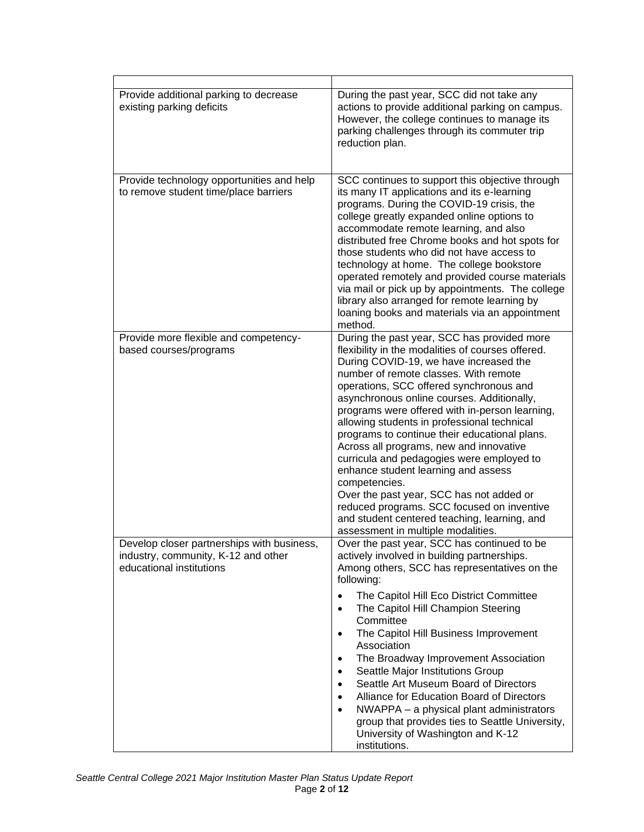| Provide additional parking to decrease<br>existing parking deficits                                           | During the past year, SCC did not take any<br>actions to provide additional parking on campus.<br>However, the college continues to manage its<br>parking challenges through its commuter trip<br>reduction plan.                                                                                                                                                                                                                                                                                                                                                                                                                                                                                                                                              |
|---------------------------------------------------------------------------------------------------------------|----------------------------------------------------------------------------------------------------------------------------------------------------------------------------------------------------------------------------------------------------------------------------------------------------------------------------------------------------------------------------------------------------------------------------------------------------------------------------------------------------------------------------------------------------------------------------------------------------------------------------------------------------------------------------------------------------------------------------------------------------------------|
| Provide technology opportunities and help<br>to remove student time/place barriers                            | SCC continues to support this objective through<br>its many IT applications and its e-learning<br>programs. During the COVID-19 crisis, the<br>college greatly expanded online options to<br>accommodate remote learning, and also<br>distributed free Chrome books and hot spots for<br>those students who did not have access to<br>technology at home. The college bookstore<br>operated remotely and provided course materials<br>via mail or pick up by appointments. The college<br>library also arranged for remote learning by<br>loaning books and materials via an appointment<br>method.                                                                                                                                                            |
| Provide more flexible and competency-<br>based courses/programs                                               | During the past year, SCC has provided more<br>flexibility in the modalities of courses offered.<br>During COVID-19, we have increased the<br>number of remote classes. With remote<br>operations, SCC offered synchronous and<br>asynchronous online courses. Additionally,<br>programs were offered with in-person learning,<br>allowing students in professional technical<br>programs to continue their educational plans.<br>Across all programs, new and innovative<br>curricula and pedagogies were employed to<br>enhance student learning and assess<br>competencies.<br>Over the past year, SCC has not added or<br>reduced programs. SCC focused on inventive<br>and student centered teaching, learning, and<br>assessment in multiple modalities. |
| Develop closer partnerships with business,<br>industry, community, K-12 and other<br>educational institutions | Over the past year, SCC has continued to be<br>actively involved in building partnerships.<br>Among others, SCC has representatives on the<br>following:<br>The Capitol Hill Eco District Committee<br>$\bullet$<br>The Capitol Hill Champion Steering<br>$\bullet$<br>Committee<br>The Capitol Hill Business Improvement<br>$\bullet$<br>Association<br>The Broadway Improvement Association<br>$\bullet$<br>Seattle Major Institutions Group<br>$\bullet$<br>Seattle Art Museum Board of Directors<br>$\bullet$<br>Alliance for Education Board of Directors<br>$\bullet$<br>NWAPPA – a physical plant administrators<br>$\bullet$<br>group that provides ties to Seattle University,<br>University of Washington and K-12<br>institutions.                  |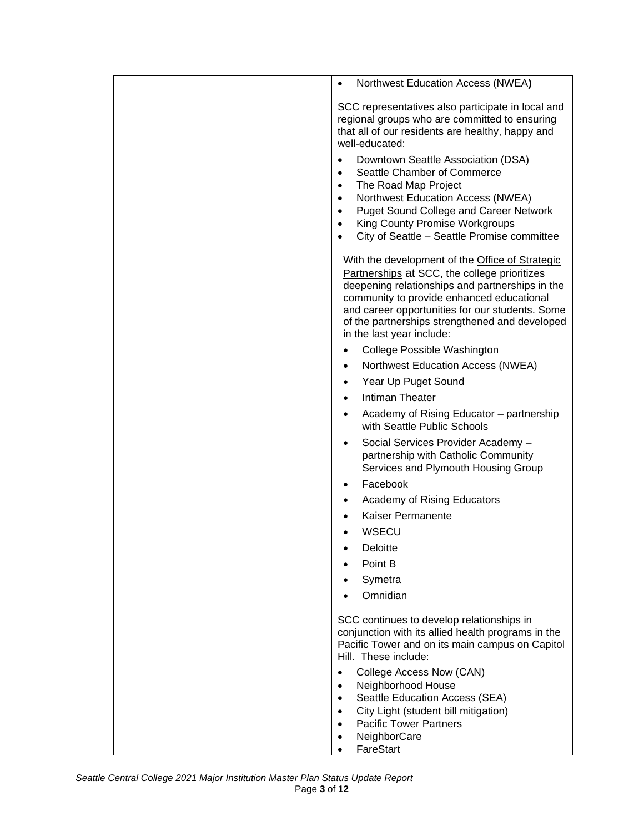| Northwest Education Access (NWEA)<br>$\bullet$                                                                                                                                                                                                                                                                                    |
|-----------------------------------------------------------------------------------------------------------------------------------------------------------------------------------------------------------------------------------------------------------------------------------------------------------------------------------|
| SCC representatives also participate in local and<br>regional groups who are committed to ensuring<br>that all of our residents are healthy, happy and<br>well-educated:                                                                                                                                                          |
| Downtown Seattle Association (DSA)<br>$\bullet$                                                                                                                                                                                                                                                                                   |
| Seattle Chamber of Commerce<br>$\bullet$                                                                                                                                                                                                                                                                                          |
| The Road Map Project<br>$\bullet$                                                                                                                                                                                                                                                                                                 |
| Northwest Education Access (NWEA)<br>$\bullet$<br>Puget Sound College and Career Network<br>$\bullet$                                                                                                                                                                                                                             |
| King County Promise Workgroups<br>$\bullet$                                                                                                                                                                                                                                                                                       |
| City of Seattle - Seattle Promise committee<br>$\bullet$                                                                                                                                                                                                                                                                          |
| With the development of the Office of Strategic<br>Partnerships at SCC, the college prioritizes<br>deepening relationships and partnerships in the<br>community to provide enhanced educational<br>and career opportunities for our students. Some<br>of the partnerships strengthened and developed<br>in the last year include: |
| College Possible Washington<br>$\bullet$                                                                                                                                                                                                                                                                                          |
| Northwest Education Access (NWEA)<br>$\bullet$                                                                                                                                                                                                                                                                                    |
| Year Up Puget Sound<br>$\bullet$                                                                                                                                                                                                                                                                                                  |
| Intiman Theater                                                                                                                                                                                                                                                                                                                   |
| Academy of Rising Educator - partnership<br>with Seattle Public Schools                                                                                                                                                                                                                                                           |
| Social Services Provider Academy -<br>$\bullet$<br>partnership with Catholic Community<br>Services and Plymouth Housing Group                                                                                                                                                                                                     |
| Facebook                                                                                                                                                                                                                                                                                                                          |
| Academy of Rising Educators                                                                                                                                                                                                                                                                                                       |
| Kaiser Permanente                                                                                                                                                                                                                                                                                                                 |
| <b>WSECU</b>                                                                                                                                                                                                                                                                                                                      |
| Deloitte                                                                                                                                                                                                                                                                                                                          |
| Point B                                                                                                                                                                                                                                                                                                                           |
| Symetra                                                                                                                                                                                                                                                                                                                           |
| Omnidian                                                                                                                                                                                                                                                                                                                          |
| SCC continues to develop relationships in<br>conjunction with its allied health programs in the<br>Pacific Tower and on its main campus on Capitol<br>Hill. These include:                                                                                                                                                        |
| College Access Now (CAN)<br>$\bullet$                                                                                                                                                                                                                                                                                             |
| Neighborhood House<br>$\bullet$                                                                                                                                                                                                                                                                                                   |
| Seattle Education Access (SEA)<br>$\bullet$                                                                                                                                                                                                                                                                                       |
| City Light (student bill mitigation)<br>$\bullet$<br><b>Pacific Tower Partners</b><br>$\bullet$                                                                                                                                                                                                                                   |
| NeighborCare<br>$\bullet$                                                                                                                                                                                                                                                                                                         |
| FareStart<br>$\bullet$                                                                                                                                                                                                                                                                                                            |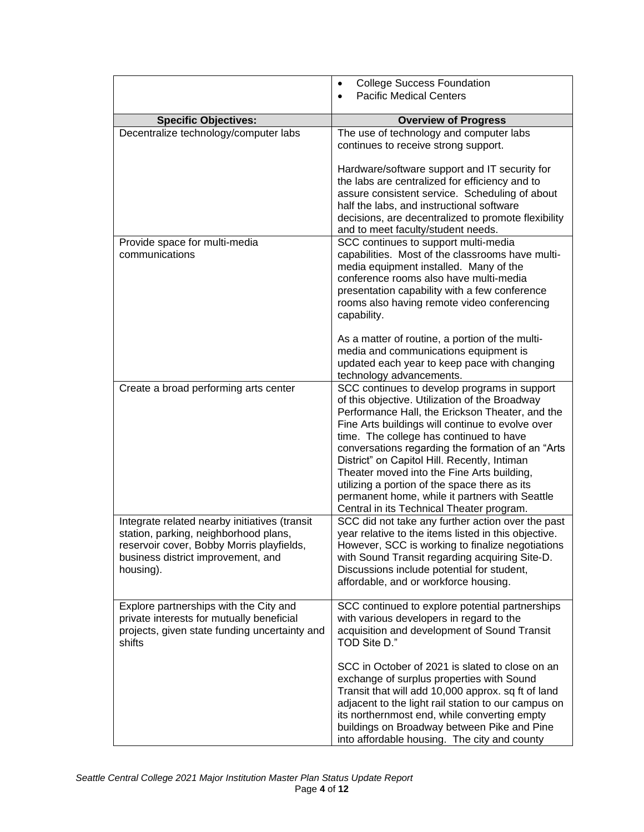|                                                                                                                                                                                        | <b>College Success Foundation</b><br>$\bullet$                                                                                                                                                                                                                                                                                                                                                                                                                                                                                                      |  |
|----------------------------------------------------------------------------------------------------------------------------------------------------------------------------------------|-----------------------------------------------------------------------------------------------------------------------------------------------------------------------------------------------------------------------------------------------------------------------------------------------------------------------------------------------------------------------------------------------------------------------------------------------------------------------------------------------------------------------------------------------------|--|
|                                                                                                                                                                                        | <b>Pacific Medical Centers</b><br>$\bullet$                                                                                                                                                                                                                                                                                                                                                                                                                                                                                                         |  |
| <b>Specific Objectives:</b>                                                                                                                                                            | <b>Overview of Progress</b>                                                                                                                                                                                                                                                                                                                                                                                                                                                                                                                         |  |
| Decentralize technology/computer labs                                                                                                                                                  | The use of technology and computer labs<br>continues to receive strong support.                                                                                                                                                                                                                                                                                                                                                                                                                                                                     |  |
|                                                                                                                                                                                        | Hardware/software support and IT security for<br>the labs are centralized for efficiency and to<br>assure consistent service. Scheduling of about<br>half the labs, and instructional software<br>decisions, are decentralized to promote flexibility<br>and to meet faculty/student needs.                                                                                                                                                                                                                                                         |  |
| Provide space for multi-media<br>communications                                                                                                                                        | SCC continues to support multi-media<br>capabilities. Most of the classrooms have multi-<br>media equipment installed. Many of the<br>conference rooms also have multi-media<br>presentation capability with a few conference<br>rooms also having remote video conferencing<br>capability.                                                                                                                                                                                                                                                         |  |
|                                                                                                                                                                                        | As a matter of routine, a portion of the multi-<br>media and communications equipment is<br>updated each year to keep pace with changing<br>technology advancements.                                                                                                                                                                                                                                                                                                                                                                                |  |
| Create a broad performing arts center                                                                                                                                                  | SCC continues to develop programs in support<br>of this objective. Utilization of the Broadway<br>Performance Hall, the Erickson Theater, and the<br>Fine Arts buildings will continue to evolve over<br>time. The college has continued to have<br>conversations regarding the formation of an "Arts<br>District" on Capitol Hill. Recently, Intiman<br>Theater moved into the Fine Arts building,<br>utilizing a portion of the space there as its<br>permanent home, while it partners with Seattle<br>Central in its Technical Theater program. |  |
| Integrate related nearby initiatives (transit<br>station, parking, neighborhood plans,<br>reservoir cover, Bobby Morris playfields,<br>business district improvement, and<br>housing). | SCC did not take any further action over the past<br>year relative to the items listed in this objective.<br>However, SCC is working to finalize negotiations<br>with Sound Transit regarding acquiring Site-D.<br>Discussions include potential for student,<br>affordable, and or workforce housing.                                                                                                                                                                                                                                              |  |
| Explore partnerships with the City and<br>private interests for mutually beneficial<br>projects, given state funding uncertainty and<br>shifts                                         | SCC continued to explore potential partnerships<br>with various developers in regard to the<br>acquisition and development of Sound Transit<br>TOD Site D."                                                                                                                                                                                                                                                                                                                                                                                         |  |
|                                                                                                                                                                                        | SCC in October of 2021 is slated to close on an<br>exchange of surplus properties with Sound<br>Transit that will add 10,000 approx. sq ft of land<br>adjacent to the light rail station to our campus on<br>its northernmost end, while converting empty<br>buildings on Broadway between Pike and Pine<br>into affordable housing. The city and county                                                                                                                                                                                            |  |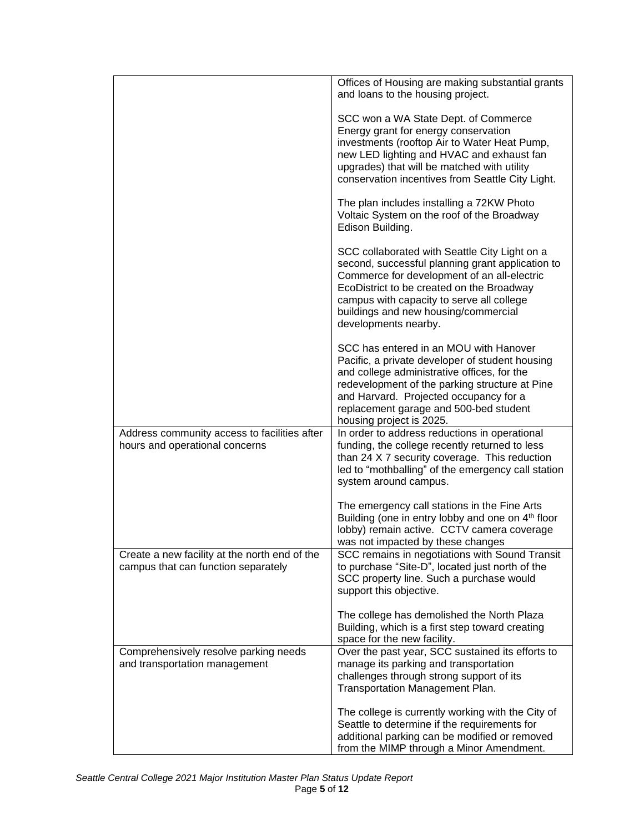|                                                                                      | Offices of Housing are making substantial grants<br>and loans to the housing project.                                                                                                                                                                                                                      |
|--------------------------------------------------------------------------------------|------------------------------------------------------------------------------------------------------------------------------------------------------------------------------------------------------------------------------------------------------------------------------------------------------------|
|                                                                                      | SCC won a WA State Dept. of Commerce<br>Energy grant for energy conservation<br>investments (rooftop Air to Water Heat Pump,<br>new LED lighting and HVAC and exhaust fan<br>upgrades) that will be matched with utility<br>conservation incentives from Seattle City Light.                               |
|                                                                                      | The plan includes installing a 72KW Photo<br>Voltaic System on the roof of the Broadway<br>Edison Building.                                                                                                                                                                                                |
|                                                                                      | SCC collaborated with Seattle City Light on a<br>second, successful planning grant application to<br>Commerce for development of an all-electric<br>EcoDistrict to be created on the Broadway<br>campus with capacity to serve all college<br>buildings and new housing/commercial<br>developments nearby. |
|                                                                                      | SCC has entered in an MOU with Hanover<br>Pacific, a private developer of student housing<br>and college administrative offices, for the<br>redevelopment of the parking structure at Pine<br>and Harvard. Projected occupancy for a<br>replacement garage and 500-bed student<br>housing project is 2025. |
| Address community access to facilities after<br>hours and operational concerns       | In order to address reductions in operational<br>funding, the college recently returned to less<br>than 24 X 7 security coverage. This reduction<br>led to "mothballing" of the emergency call station<br>system around campus.                                                                            |
|                                                                                      | The emergency call stations in the Fine Arts<br>Building (one in entry lobby and one on 4 <sup>th</sup> floor<br>lobby) remain active. CCTV camera coverage<br>was not impacted by these changes                                                                                                           |
| Create a new facility at the north end of the<br>campus that can function separately | SCC remains in negotiations with Sound Transit<br>to purchase "Site-D", located just north of the<br>SCC property line. Such a purchase would<br>support this objective.                                                                                                                                   |
|                                                                                      | The college has demolished the North Plaza<br>Building, which is a first step toward creating<br>space for the new facility.                                                                                                                                                                               |
| Comprehensively resolve parking needs<br>and transportation management               | Over the past year, SCC sustained its efforts to<br>manage its parking and transportation<br>challenges through strong support of its<br>Transportation Management Plan.                                                                                                                                   |
|                                                                                      | The college is currently working with the City of<br>Seattle to determine if the requirements for<br>additional parking can be modified or removed<br>from the MIMP through a Minor Amendment.                                                                                                             |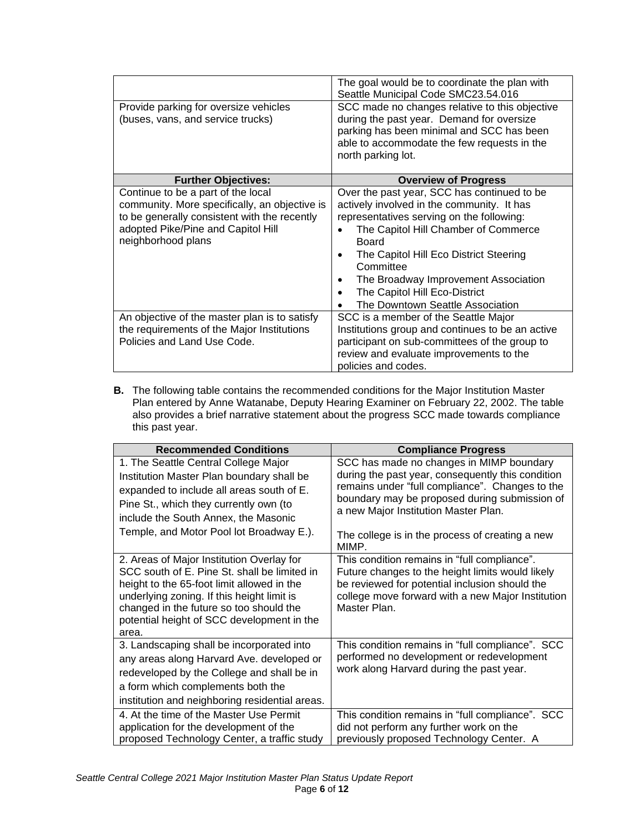|                                               | The goal would be to coordinate the plan with<br>Seattle Municipal Code SMC23.54.016 |
|-----------------------------------------------|--------------------------------------------------------------------------------------|
| Provide parking for oversize vehicles         | SCC made no changes relative to this objective                                       |
| (buses, vans, and service trucks)             | during the past year. Demand for oversize                                            |
|                                               | parking has been minimal and SCC has been                                            |
|                                               | able to accommodate the few requests in the                                          |
|                                               | north parking lot.                                                                   |
|                                               |                                                                                      |
| <b>Further Objectives:</b>                    | <b>Overview of Progress</b>                                                          |
| Continue to be a part of the local            | Over the past year, SCC has continued to be                                          |
| community. More specifically, an objective is | actively involved in the community. It has                                           |
| to be generally consistent with the recently  | representatives serving on the following:                                            |
| adopted Pike/Pine and Capitol Hill            | The Capitol Hill Chamber of Commerce                                                 |
| neighborhood plans                            | Board                                                                                |
|                                               | The Capitol Hill Eco District Steering                                               |
|                                               | Committee                                                                            |
|                                               | The Broadway Improvement Association                                                 |
|                                               | The Capitol Hill Eco-District                                                        |
|                                               | The Downtown Seattle Association                                                     |
| An objective of the master plan is to satisfy | SCC is a member of the Seattle Major                                                 |
| the requirements of the Major Institutions    | Institutions group and continues to be an active                                     |
| Policies and Land Use Code.                   | participant on sub-committees of the group to                                        |
|                                               | review and evaluate improvements to the                                              |
|                                               | policies and codes.                                                                  |

**B.** The following table contains the recommended conditions for the Major Institution Master Plan entered by Anne Watanabe, Deputy Hearing Examiner on February 22, 2002. The table also provides a brief narrative statement about the progress SCC made towards compliance this past year.

| <b>Recommended Conditions</b>                                                                                                                                                                                                                                                           | <b>Compliance Progress</b>                                                                                                                                                                                                                                                                   |
|-----------------------------------------------------------------------------------------------------------------------------------------------------------------------------------------------------------------------------------------------------------------------------------------|----------------------------------------------------------------------------------------------------------------------------------------------------------------------------------------------------------------------------------------------------------------------------------------------|
| 1. The Seattle Central College Major<br>Institution Master Plan boundary shall be<br>expanded to include all areas south of E.<br>Pine St., which they currently own (to<br>include the South Annex, the Masonic<br>Temple, and Motor Pool lot Broadway E.).                            | SCC has made no changes in MIMP boundary<br>during the past year, consequently this condition<br>remains under "full compliance". Changes to the<br>boundary may be proposed during submission of<br>a new Major Institution Master Plan.<br>The college is in the process of creating a new |
| 2. Areas of Major Institution Overlay for<br>SCC south of E. Pine St. shall be limited in<br>height to the 65-foot limit allowed in the<br>underlying zoning. If this height limit is<br>changed in the future so too should the<br>potential height of SCC development in the<br>area. | MIMP.<br>This condition remains in "full compliance".<br>Future changes to the height limits would likely<br>be reviewed for potential inclusion should the<br>college move forward with a new Major Institution<br>Master Plan.                                                             |
| 3. Landscaping shall be incorporated into<br>any areas along Harvard Ave. developed or<br>redeveloped by the College and shall be in<br>a form which complements both the<br>institution and neighboring residential areas.<br>4. At the time of the Master Use Permit                  | This condition remains in "full compliance". SCC<br>performed no development or redevelopment<br>work along Harvard during the past year.<br>This condition remains in "full compliance". SCC                                                                                                |
| application for the development of the<br>proposed Technology Center, a traffic study                                                                                                                                                                                                   | did not perform any further work on the<br>previously proposed Technology Center. A                                                                                                                                                                                                          |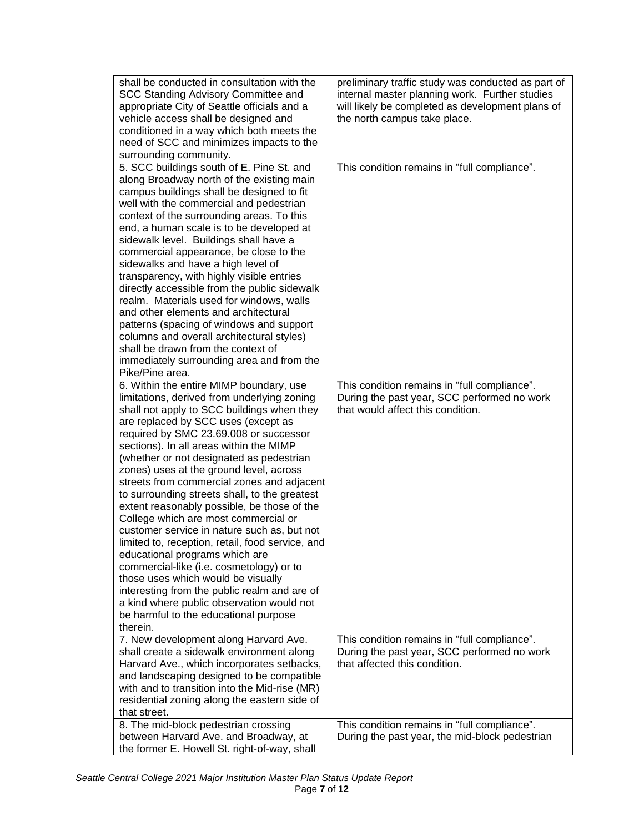| shall be conducted in consultation with the<br>SCC Standing Advisory Committee and<br>appropriate City of Seattle officials and a<br>vehicle access shall be designed and<br>conditioned in a way which both meets the<br>need of SCC and minimizes impacts to the<br>surrounding community.                                                                                                                                                                                                                                                                                                                                                                                                                                                                                                                                                                                                                           | preliminary traffic study was conducted as part of<br>internal master planning work. Further studies<br>will likely be completed as development plans of<br>the north campus take place. |
|------------------------------------------------------------------------------------------------------------------------------------------------------------------------------------------------------------------------------------------------------------------------------------------------------------------------------------------------------------------------------------------------------------------------------------------------------------------------------------------------------------------------------------------------------------------------------------------------------------------------------------------------------------------------------------------------------------------------------------------------------------------------------------------------------------------------------------------------------------------------------------------------------------------------|------------------------------------------------------------------------------------------------------------------------------------------------------------------------------------------|
| 5. SCC buildings south of E. Pine St. and<br>along Broadway north of the existing main<br>campus buildings shall be designed to fit<br>well with the commercial and pedestrian<br>context of the surrounding areas. To this<br>end, a human scale is to be developed at<br>sidewalk level. Buildings shall have a<br>commercial appearance, be close to the<br>sidewalks and have a high level of<br>transparency, with highly visible entries<br>directly accessible from the public sidewalk<br>realm. Materials used for windows, walls<br>and other elements and architectural<br>patterns (spacing of windows and support<br>columns and overall architectural styles)<br>shall be drawn from the context of<br>immediately surrounding area and from the<br>Pike/Pine area.                                                                                                                                      | This condition remains in "full compliance".                                                                                                                                             |
| 6. Within the entire MIMP boundary, use<br>limitations, derived from underlying zoning<br>shall not apply to SCC buildings when they<br>are replaced by SCC uses (except as<br>required by SMC 23.69.008 or successor<br>sections). In all areas within the MIMP<br>(whether or not designated as pedestrian<br>zones) uses at the ground level, across<br>streets from commercial zones and adjacent<br>to surrounding streets shall, to the greatest<br>extent reasonably possible, be those of the<br>College which are most commercial or<br>customer service in nature such as, but not<br>limited to, reception, retail, food service, and<br>educational programs which are<br>commercial-like (i.e. cosmetology) or to<br>those uses which would be visually<br>interesting from the public realm and are of<br>a kind where public observation would not<br>be harmful to the educational purpose<br>therein. | This condition remains in "full compliance".<br>During the past year, SCC performed no work<br>that would affect this condition.                                                         |
| 7. New development along Harvard Ave.<br>shall create a sidewalk environment along<br>Harvard Ave., which incorporates setbacks,<br>and landscaping designed to be compatible<br>with and to transition into the Mid-rise (MR)<br>residential zoning along the eastern side of<br>that street.                                                                                                                                                                                                                                                                                                                                                                                                                                                                                                                                                                                                                         | This condition remains in "full compliance".<br>During the past year, SCC performed no work<br>that affected this condition.                                                             |
| 8. The mid-block pedestrian crossing<br>between Harvard Ave. and Broadway, at<br>the former E. Howell St. right-of-way, shall                                                                                                                                                                                                                                                                                                                                                                                                                                                                                                                                                                                                                                                                                                                                                                                          | This condition remains in "full compliance".<br>During the past year, the mid-block pedestrian                                                                                           |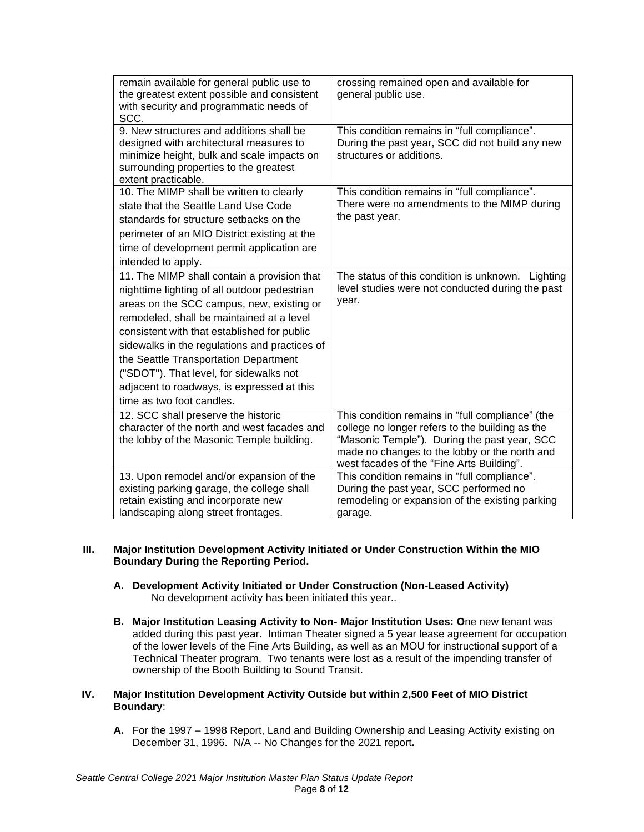| remain available for general public use to<br>the greatest extent possible and consistent<br>with security and programmatic needs of<br>SCC.                                                                                                                                                                                                                                                                                                         | crossing remained open and available for<br>general public use.                                                                                                                                                                                   |
|------------------------------------------------------------------------------------------------------------------------------------------------------------------------------------------------------------------------------------------------------------------------------------------------------------------------------------------------------------------------------------------------------------------------------------------------------|---------------------------------------------------------------------------------------------------------------------------------------------------------------------------------------------------------------------------------------------------|
| 9. New structures and additions shall be<br>designed with architectural measures to<br>minimize height, bulk and scale impacts on<br>surrounding properties to the greatest<br>extent practicable.                                                                                                                                                                                                                                                   | This condition remains in "full compliance".<br>During the past year, SCC did not build any new<br>structures or additions.                                                                                                                       |
| 10. The MIMP shall be written to clearly<br>state that the Seattle Land Use Code<br>standards for structure setbacks on the<br>perimeter of an MIO District existing at the<br>time of development permit application are<br>intended to apply.                                                                                                                                                                                                      | This condition remains in "full compliance".<br>There were no amendments to the MIMP during<br>the past year.                                                                                                                                     |
| 11. The MIMP shall contain a provision that<br>nighttime lighting of all outdoor pedestrian<br>areas on the SCC campus, new, existing or<br>remodeled, shall be maintained at a level<br>consistent with that established for public<br>sidewalks in the regulations and practices of<br>the Seattle Transportation Department<br>("SDOT"). That level, for sidewalks not<br>adjacent to roadways, is expressed at this<br>time as two foot candles. | The status of this condition is unknown.<br>Lighting<br>level studies were not conducted during the past<br>year.                                                                                                                                 |
| 12. SCC shall preserve the historic<br>character of the north and west facades and<br>the lobby of the Masonic Temple building.                                                                                                                                                                                                                                                                                                                      | This condition remains in "full compliance" (the<br>college no longer refers to the building as the<br>"Masonic Temple"). During the past year, SCC<br>made no changes to the lobby or the north and<br>west facades of the "Fine Arts Building". |
| 13. Upon remodel and/or expansion of the<br>existing parking garage, the college shall<br>retain existing and incorporate new<br>landscaping along street frontages.                                                                                                                                                                                                                                                                                 | This condition remains in "full compliance".<br>During the past year, SCC performed no<br>remodeling or expansion of the existing parking<br>garage.                                                                                              |

# **III. Major Institution Development Activity Initiated or Under Construction Within the MIO Boundary During the Reporting Period.**

- **A. Development Activity Initiated or Under Construction (Non-Leased Activity)** No development activity has been initiated this year..
- **B. Major Institution Leasing Activity to Non- Major Institution Uses: O**ne new tenant was added during this past year. Intiman Theater signed a 5 year lease agreement for occupation of the lower levels of the Fine Arts Building, as well as an MOU for instructional support of a Technical Theater program. Two tenants were lost as a result of the impending transfer of ownership of the Booth Building to Sound Transit.

# **IV. Major Institution Development Activity Outside but within 2,500 Feet of MIO District Boundary**:

**A.** For the 1997 – 1998 Report, Land and Building Ownership and Leasing Activity existing on December 31, 1996. N/A -- No Changes for the 2021 report**.**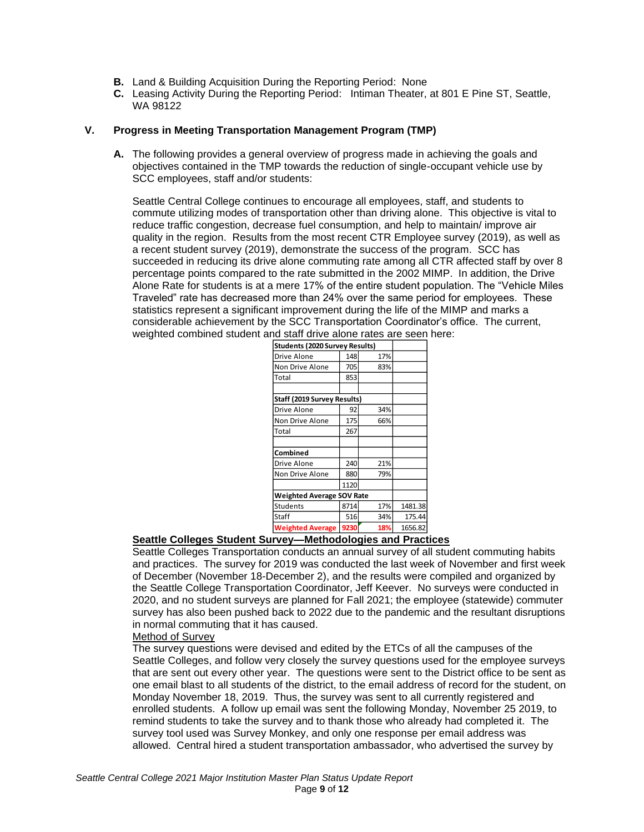- **B.** Land & Building Acquisition During the Reporting Period: None
- **C.** Leasing Activity During the Reporting Period: Intiman Theater, at 801 E Pine ST, Seattle, WA 98122

## **V. Progress in Meeting Transportation Management Program (TMP)**

**A.** The following provides a general overview of progress made in achieving the goals and objectives contained in the TMP towards the reduction of single-occupant vehicle use by SCC employees, staff and/or students:

Seattle Central College continues to encourage all employees, staff, and students to commute utilizing modes of transportation other than driving alone. This objective is vital to reduce traffic congestion, decrease fuel consumption, and help to maintain/ improve air quality in the region. Results from the most recent CTR Employee survey (2019), as well as a recent student survey (2019), demonstrate the success of the program. SCC has succeeded in reducing its drive alone commuting rate among all CTR affected staff by over 8 percentage points compared to the rate submitted in the 2002 MIMP. In addition, the Drive Alone Rate for students is at a mere 17% of the entire student population. The "Vehicle Miles Traveled" rate has decreased more than 24% over the same period for employees. These statistics represent a significant improvement during the life of the MIMP and marks a considerable achievement by the SCC Transportation Coordinator's office. The current, weighted combined student and staff drive alone rates are seen here:

| <b>Students (2020 Survey Results)</b> |      |     |         |
|---------------------------------------|------|-----|---------|
| Drive Alone                           | 148  | 17% |         |
| Non Drive Alone                       | 705  | 83% |         |
| Total                                 | 853  |     |         |
|                                       |      |     |         |
| Staff (2019 Survey Results)           |      |     |         |
| Drive Alone                           | 92   | 34% |         |
| Non Drive Alone                       | 175  | 66% |         |
| Total                                 | 267  |     |         |
|                                       |      |     |         |
| Combined                              |      |     |         |
| Drive Alone                           | 240  | 21% |         |
| Non Drive Alone                       | 880  | 79% |         |
|                                       | 1120 |     |         |
| Weighted Average SOV Rate             |      |     |         |
| <b>Students</b>                       | 8714 | 17% | 1481.38 |
| Staff                                 | 516  | 34% | 175.44  |
| <b>Weighted Average</b>               | 9230 | 18% | 1656.82 |

## **Seattle Colleges Student Survey—Methodologies and Practices**

Seattle Colleges Transportation conducts an annual survey of all student commuting habits and practices. The survey for 2019 was conducted the last week of November and first week of December (November 18-December 2), and the results were compiled and organized by the Seattle College Transportation Coordinator, Jeff Keever. No surveys were conducted in 2020, and no student surveys are planned for Fall 2021; the employee (statewide) commuter survey has also been pushed back to 2022 due to the pandemic and the resultant disruptions in normal commuting that it has caused.

#### Method of Survey

The survey questions were devised and edited by the ETCs of all the campuses of the Seattle Colleges, and follow very closely the survey questions used for the employee surveys that are sent out every other year. The questions were sent to the District office to be sent as one email blast to all students of the district, to the email address of record for the student, on Monday November 18, 2019. Thus, the survey was sent to all currently registered and enrolled students. A follow up email was sent the following Monday, November 25 2019, to remind students to take the survey and to thank those who already had completed it. The survey tool used was Survey Monkey, and only one response per email address was allowed. Central hired a student transportation ambassador, who advertised the survey by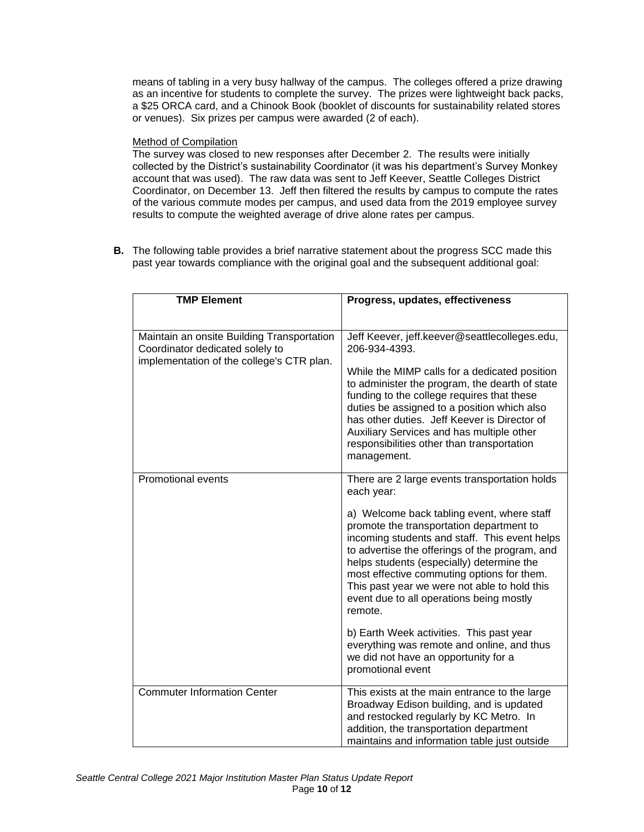means of tabling in a very busy hallway of the campus. The colleges offered a prize drawing as an incentive for students to complete the survey. The prizes were lightweight back packs, a \$25 ORCA card, and a Chinook Book (booklet of discounts for sustainability related stores or venues). Six prizes per campus were awarded (2 of each).

# Method of Compilation

The survey was closed to new responses after December 2. The results were initially collected by the District's sustainability Coordinator (it was his department's Survey Monkey account that was used). The raw data was sent to Jeff Keever, Seattle Colleges District Coordinator, on December 13. Jeff then filtered the results by campus to compute the rates of the various commute modes per campus, and used data from the 2019 employee survey results to compute the weighted average of drive alone rates per campus.

**B.** The following table provides a brief narrative statement about the progress SCC made this past year towards compliance with the original goal and the subsequent additional goal:

| <b>TMP Element</b>                                                                                                         | Progress, updates, effectiveness                                                                                                                                                                                                                                                                                                                                                                                                                                                                                                                                                                                  |
|----------------------------------------------------------------------------------------------------------------------------|-------------------------------------------------------------------------------------------------------------------------------------------------------------------------------------------------------------------------------------------------------------------------------------------------------------------------------------------------------------------------------------------------------------------------------------------------------------------------------------------------------------------------------------------------------------------------------------------------------------------|
|                                                                                                                            |                                                                                                                                                                                                                                                                                                                                                                                                                                                                                                                                                                                                                   |
| Maintain an onsite Building Transportation<br>Coordinator dedicated solely to<br>implementation of the college's CTR plan. | Jeff Keever, jeff.keever@seattlecolleges.edu,<br>206-934-4393.<br>While the MIMP calls for a dedicated position<br>to administer the program, the dearth of state<br>funding to the college requires that these<br>duties be assigned to a position which also<br>has other duties. Jeff Keever is Director of<br>Auxiliary Services and has multiple other<br>responsibilities other than transportation<br>management.                                                                                                                                                                                          |
| <b>Promotional events</b>                                                                                                  | There are 2 large events transportation holds<br>each year:<br>a) Welcome back tabling event, where staff<br>promote the transportation department to<br>incoming students and staff. This event helps<br>to advertise the offerings of the program, and<br>helps students (especially) determine the<br>most effective commuting options for them.<br>This past year we were not able to hold this<br>event due to all operations being mostly<br>remote.<br>b) Earth Week activities. This past year<br>everything was remote and online, and thus<br>we did not have an opportunity for a<br>promotional event |
| <b>Commuter Information Center</b>                                                                                         | This exists at the main entrance to the large<br>Broadway Edison building, and is updated<br>and restocked regularly by KC Metro. In<br>addition, the transportation department<br>maintains and information table just outside                                                                                                                                                                                                                                                                                                                                                                                   |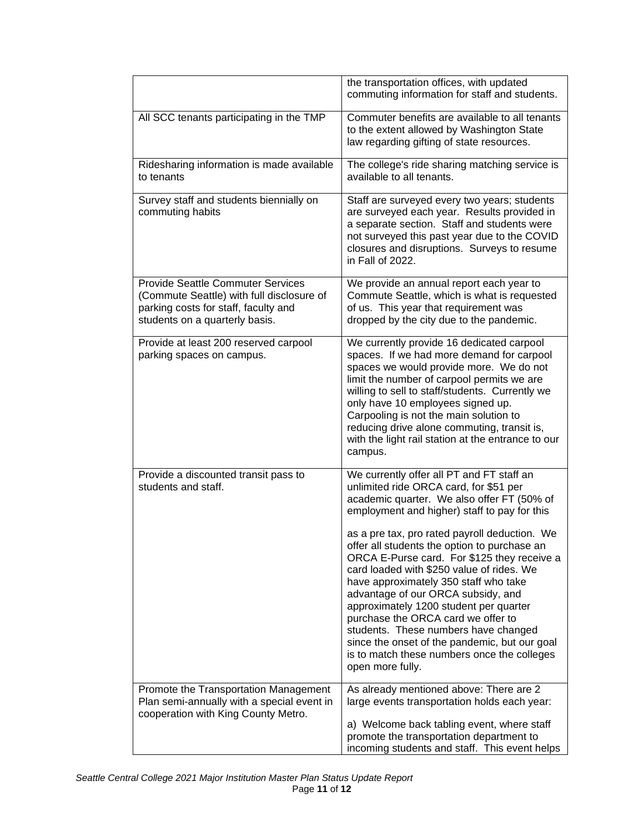|                                                                                                                                                                 | the transportation offices, with updated<br>commuting information for staff and students.                                                                                                                                                                                                                                                                                                                                                                                                                                                                                                                                                                                                                 |
|-----------------------------------------------------------------------------------------------------------------------------------------------------------------|-----------------------------------------------------------------------------------------------------------------------------------------------------------------------------------------------------------------------------------------------------------------------------------------------------------------------------------------------------------------------------------------------------------------------------------------------------------------------------------------------------------------------------------------------------------------------------------------------------------------------------------------------------------------------------------------------------------|
| All SCC tenants participating in the TMP                                                                                                                        | Commuter benefits are available to all tenants<br>to the extent allowed by Washington State<br>law regarding gifting of state resources.                                                                                                                                                                                                                                                                                                                                                                                                                                                                                                                                                                  |
| Ridesharing information is made available<br>to tenants                                                                                                         | The college's ride sharing matching service is<br>available to all tenants.                                                                                                                                                                                                                                                                                                                                                                                                                                                                                                                                                                                                                               |
| Survey staff and students biennially on<br>commuting habits                                                                                                     | Staff are surveyed every two years; students<br>are surveyed each year. Results provided in<br>a separate section. Staff and students were<br>not surveyed this past year due to the COVID<br>closures and disruptions. Surveys to resume<br>in Fall of 2022.                                                                                                                                                                                                                                                                                                                                                                                                                                             |
| <b>Provide Seattle Commuter Services</b><br>(Commute Seattle) with full disclosure of<br>parking costs for staff, faculty and<br>students on a quarterly basis. | We provide an annual report each year to<br>Commute Seattle, which is what is requested<br>of us. This year that requirement was<br>dropped by the city due to the pandemic.                                                                                                                                                                                                                                                                                                                                                                                                                                                                                                                              |
| Provide at least 200 reserved carpool<br>parking spaces on campus.                                                                                              | We currently provide 16 dedicated carpool<br>spaces. If we had more demand for carpool<br>spaces we would provide more. We do not<br>limit the number of carpool permits we are<br>willing to sell to staff/students. Currently we<br>only have 10 employees signed up.<br>Carpooling is not the main solution to<br>reducing drive alone commuting, transit is,<br>with the light rail station at the entrance to our<br>campus.                                                                                                                                                                                                                                                                         |
| Provide a discounted transit pass to<br>students and staff.                                                                                                     | We currently offer all PT and FT staff an<br>unlimited ride ORCA card, for \$51 per<br>academic quarter. We also offer FT (50% of<br>employment and higher) staff to pay for this<br>as a pre tax, pro rated payroll deduction. We<br>offer all students the option to purchase an<br>ORCA E-Purse card. For \$125 they receive a<br>card loaded with \$250 value of rides. We<br>have approximately 350 staff who take<br>advantage of our ORCA subsidy, and<br>approximately 1200 student per quarter<br>purchase the ORCA card we offer to<br>students. These numbers have changed<br>since the onset of the pandemic, but our goal<br>is to match these numbers once the colleges<br>open more fully. |
| Promote the Transportation Management<br>Plan semi-annually with a special event in<br>cooperation with King County Metro.                                      | As already mentioned above: There are 2<br>large events transportation holds each year:<br>a) Welcome back tabling event, where staff<br>promote the transportation department to<br>incoming students and staff. This event helps                                                                                                                                                                                                                                                                                                                                                                                                                                                                        |